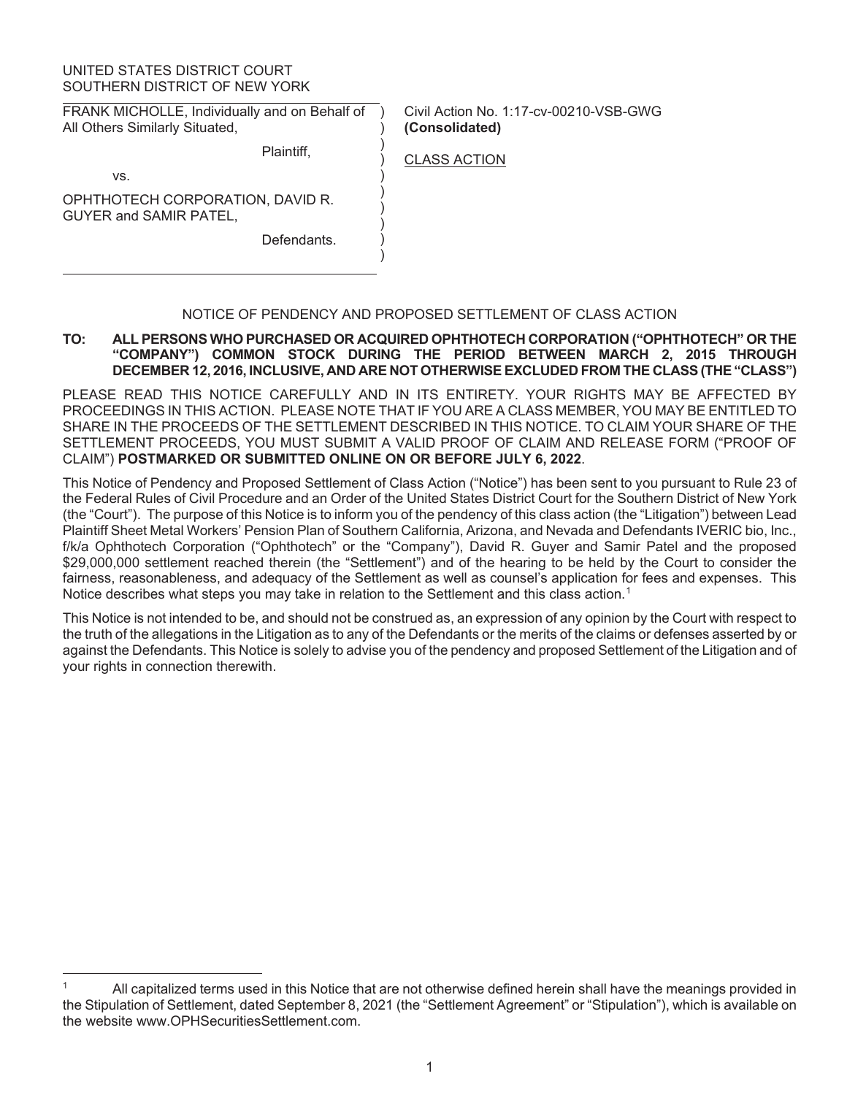# UNITED STATES DISTRICT COURT SOUTHERN DISTRICT OF NEW YORK

FRANK MICHOLLE, Individually and on Behalf of All Others Similarly Situated,

Plaintiff,

Civil Action No. 1:17-cv-00210-VSB-GWG **(Consolidated)**

CLASS ACTION

) ) ) ) ) ) ) ) ) )

vs.

OPHTHOTECH CORPORATION, DAVID R. GUYER and SAMIR PATEL,

**Defendants** 

# NOTICE OF PENDENCY AND PROPOSED SETTLEMENT OF CLASS ACTION

# **TO: ALL PERSONS WHO PURCHASED OR ACQUIRED OPHTHOTECH CORPORATION ("OPHTHOTECH" OR THE "COMPANY") COMMON STOCK DURING THE PERIOD BETWEEN MARCH 2, 2015 THROUGH DECEMBER 12, 2016, INCLUSIVE, AND ARE NOT OTHERWISE EXCLUDED FROM THE CLASS (THE "CLASS")**

PLEASE READ THIS NOTICE CAREFULLY AND IN ITS ENTIRETY. YOUR RIGHTS MAY BE AFFECTED BY PROCEEDINGS IN THIS ACTION. PLEASE NOTE THAT IF YOU ARE A CLASS MEMBER, YOU MAY BE ENTITLED TO SHARE IN THE PROCEEDS OF THE SETTLEMENT DESCRIBED IN THIS NOTICE. TO CLAIM YOUR SHARE OF THE SETTLEMENT PROCEEDS, YOU MUST SUBMIT A VALID PROOF OF CLAIM AND RELEASE FORM ("PROOF OF CLAIM") **POSTMARKED OR SUBMITTED ONLINE ON OR BEFORE JULY 6, 2022**.

This Notice of Pendency and Proposed Settlement of Class Action ("Notice") has been sent to you pursuant to Rule 23 of the Federal Rules of Civil Procedure and an Order of the United States District Court for the Southern District of New York (the "Court"). The purpose of this Notice is to inform you of the pendency of this class action (the "Litigation") between Lead Plaintiff Sheet Metal Workers' Pension Plan of Southern California, Arizona, and Nevada and Defendants IVERIC bio, Inc., f/k/a Ophthotech Corporation ("Ophthotech" or the "Company"), David R. Guyer and Samir Patel and the proposed \$29,000,000 settlement reached therein (the "Settlement") and of the hearing to be held by the Court to consider the fairness, reasonableness, and adequacy of the Settlement as well as counsel's application for fees and expenses. This Notice describes what steps you may take in relation to the Settlement and this class action.<sup>1</sup>

This Notice is not intended to be, and should not be construed as, an expression of any opinion by the Court with respect to the truth of the allegations in the Litigation as to any of the Defendants or the merits of the claims or defenses asserted by or against the Defendants. This Notice is solely to advise you of the pendency and proposed Settlement of the Litigation and of your rights in connection therewith.

<sup>1</sup> All capitalized terms used in this Notice that are not otherwise defined herein shall have the meanings provided in the Stipulation of Settlement, dated September 8, 2021 (the "Settlement Agreement" or "Stipulation"), which is available on the website www.OPHSecuritiesSettlement.com.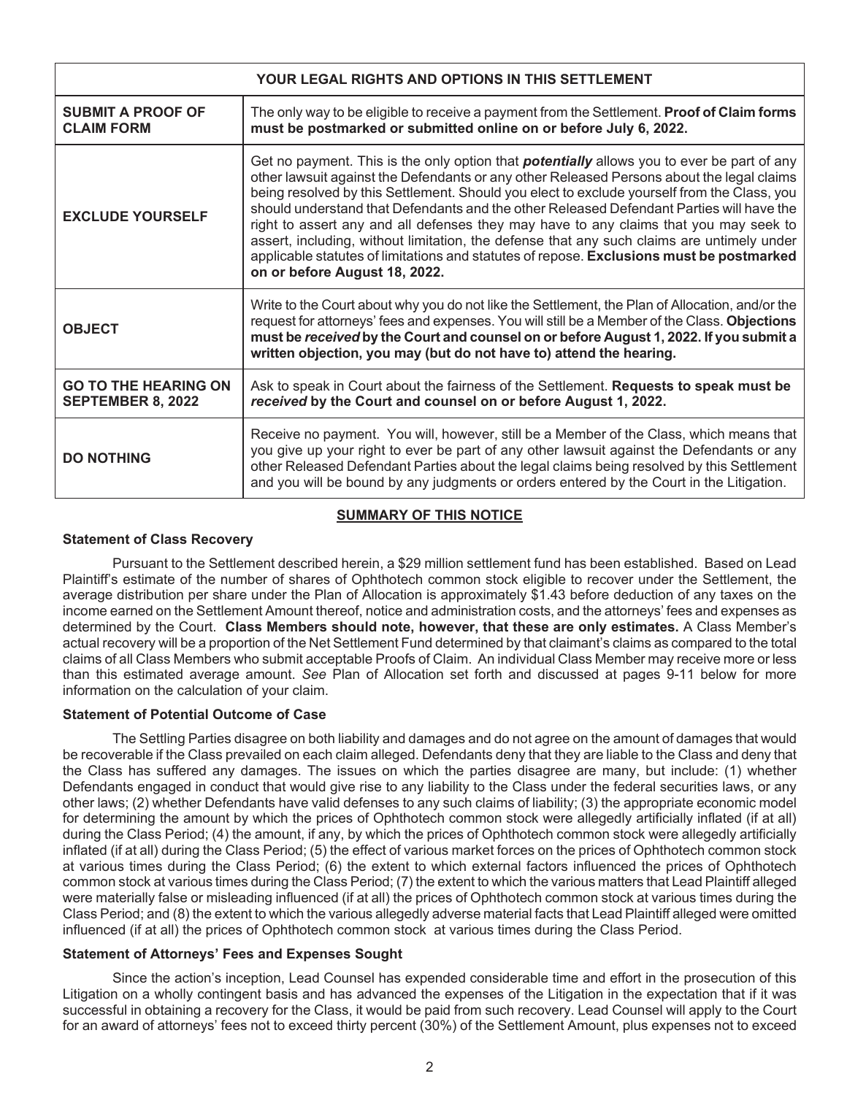| YOUR LEGAL RIGHTS AND OPTIONS IN THIS SETTLEMENT        |                                                                                                                                                                                                                                                                                                                                                                                                                                                                                                                                                                                                                                                                                                               |  |  |  |  |
|---------------------------------------------------------|---------------------------------------------------------------------------------------------------------------------------------------------------------------------------------------------------------------------------------------------------------------------------------------------------------------------------------------------------------------------------------------------------------------------------------------------------------------------------------------------------------------------------------------------------------------------------------------------------------------------------------------------------------------------------------------------------------------|--|--|--|--|
| <b>SUBMIT A PROOF OF</b><br><b>CLAIM FORM</b>           | The only way to be eligible to receive a payment from the Settlement. Proof of Claim forms<br>must be postmarked or submitted online on or before July 6, 2022.                                                                                                                                                                                                                                                                                                                                                                                                                                                                                                                                               |  |  |  |  |
| <b>EXCLUDE YOURSELF</b>                                 | Get no payment. This is the only option that <b>potentially</b> allows you to ever be part of any<br>other lawsuit against the Defendants or any other Released Persons about the legal claims<br>being resolved by this Settlement. Should you elect to exclude yourself from the Class, you<br>should understand that Defendants and the other Released Defendant Parties will have the<br>right to assert any and all defenses they may have to any claims that you may seek to<br>assert, including, without limitation, the defense that any such claims are untimely under<br>applicable statutes of limitations and statutes of repose. Exclusions must be postmarked<br>on or before August 18, 2022. |  |  |  |  |
| <b>OBJECT</b>                                           | Write to the Court about why you do not like the Settlement, the Plan of Allocation, and/or the<br>request for attorneys' fees and expenses. You will still be a Member of the Class. Objections<br>must be received by the Court and counsel on or before August 1, 2022. If you submit a<br>written objection, you may (but do not have to) attend the hearing.                                                                                                                                                                                                                                                                                                                                             |  |  |  |  |
| <b>GO TO THE HEARING ON</b><br><b>SEPTEMBER 8, 2022</b> | Ask to speak in Court about the fairness of the Settlement. Requests to speak must be<br>received by the Court and counsel on or before August 1, 2022.                                                                                                                                                                                                                                                                                                                                                                                                                                                                                                                                                       |  |  |  |  |
| <b>DO NOTHING</b>                                       | Receive no payment. You will, however, still be a Member of the Class, which means that<br>you give up your right to ever be part of any other lawsuit against the Defendants or any<br>other Released Defendant Parties about the legal claims being resolved by this Settlement<br>and you will be bound by any judgments or orders entered by the Court in the Litigation.                                                                                                                                                                                                                                                                                                                                 |  |  |  |  |

# **SUMMARY OF THIS NOTICE**

# **Statement of Class Recovery**

Pursuant to the Settlement described herein, a \$29 million settlement fund has been established. Based on Lead Plaintiff's estimate of the number of shares of Ophthotech common stock eligible to recover under the Settlement, the average distribution per share under the Plan of Allocation is approximately \$1.43 before deduction of any taxes on the income earned on the Settlement Amount thereof, notice and administration costs, and the attorneys' fees and expenses as determined by the Court. **Class Members should note, however, that these are only estimates.** A Class Member's actual recovery will be a proportion of the Net Settlement Fund determined by that claimant's claims as compared to the total claims of all Class Members who submit acceptable Proofs of Claim. An individual Class Member may receive more or less than this estimated average amount. *See* Plan of Allocation set forth and discussed at pages 9-11 below for more information on the calculation of your claim.

#### **Statement of Potential Outcome of Case**

The Settling Parties disagree on both liability and damages and do not agree on the amount of damages that would be recoverable if the Class prevailed on each claim alleged. Defendants deny that they are liable to the Class and deny that the Class has suffered any damages. The issues on which the parties disagree are many, but include: (1) whether Defendants engaged in conduct that would give rise to any liability to the Class under the federal securities laws, or any other laws; (2) whether Defendants have valid defenses to any such claims of liability; (3) the appropriate economic model for determining the amount by which the prices of Ophthotech common stock were allegedly artificially inflated (if at all) during the Class Period; (4) the amount, if any, by which the prices of Ophthotech common stock were allegedly artificially inflated (if at all) during the Class Period; (5) the effect of various market forces on the prices of Ophthotech common stock at various times during the Class Period; (6) the extent to which external factors influenced the prices of Ophthotech common stock at various times during the Class Period; (7) the extent to which the various matters that Lead Plaintiff alleged were materially false or misleading influenced (if at all) the prices of Ophthotech common stock at various times during the Class Period; and (8) the extent to which the various allegedly adverse material facts that Lead Plaintiff alleged were omitted influenced (if at all) the prices of Ophthotech common stock at various times during the Class Period.

#### **Statement of Attorneys' Fees and Expenses Sought**

Since the action's inception, Lead Counsel has expended considerable time and effort in the prosecution of this Litigation on a wholly contingent basis and has advanced the expenses of the Litigation in the expectation that if it was successful in obtaining a recovery for the Class, it would be paid from such recovery. Lead Counsel will apply to the Court for an award of attorneys' fees not to exceed thirty percent (30%) of the Settlement Amount, plus expenses not to exceed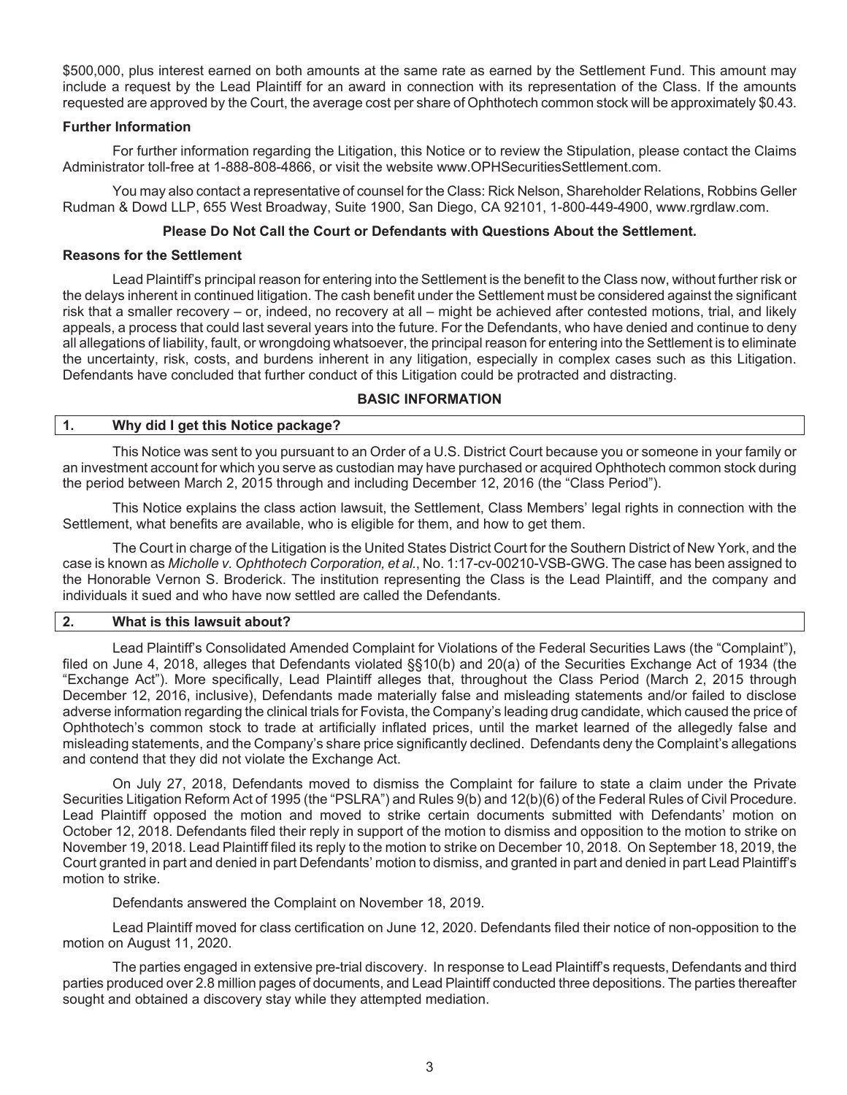\$500,000, plus interest earned on both amounts at the same rate as earned by the Settlement Fund. This amount may include a request by the Lead Plaintiff for an award in connection with its representation of the Class. If the amounts requested are approved by the Court, the average cost per share of Ophthotech common stock will be approximately \$0.43.

# **Further Information**

For further information regarding the Litigation, this Notice or to review the Stipulation, please contact the Claims Administrator toll-free at 1-888-808-4866, or visit the website www.OPHSecuritiesSettlement.com.

You may also contact a representative of counsel for the Class: Rick Nelson, Shareholder Relations, Robbins Geller Rudman & Dowd LLP, 655 West Broadway, Suite 1900, San Diego, CA 92101, 1-800-449-4900, www.rgrdlaw.com.

# **Please Do Not Call the Court or Defendants with Questions About the Settlement.**

# **Reasons for the Settlement**

Lead Plaintiff's principal reason for entering into the Settlement is the benefit to the Class now, without further risk or the delays inherent in continued litigation. The cash benefit under the Settlement must be considered against the significant risk that a smaller recovery – or, indeed, no recovery at all – might be achieved after contested motions, trial, and likely appeals, a process that could last several years into the future. For the Defendants, who have denied and continue to deny all allegations of liability, fault, or wrongdoing whatsoever, the principal reason for entering into the Settlement is to eliminate the uncertainty, risk, costs, and burdens inherent in any litigation, especially in complex cases such as this Litigation. Defendants have concluded that further conduct of this Litigation could be protracted and distracting.

# **BASIC INFORMATION**

# **1. Why did I get this Notice package?**

This Notice was sent to you pursuant to an Order of a U.S. District Court because you or someone in your family or an investment account for which you serve as custodian may have purchased or acquired Ophthotech common stock during the period between March 2, 2015 through and including December 12, 2016 (the "Class Period").

This Notice explains the class action lawsuit, the Settlement, Class Members' legal rights in connection with the Settlement, what benefits are available, who is eligible for them, and how to get them.

The Court in charge of the Litigation is the United States District Court for the Southern District of New York, and the case is known as *Micholle v. Ophthotech Corporation, et al.*, No. 1:17-cv-00210-VSB-GWG. The case has been assigned to the Honorable Vernon S. Broderick. The institution representing the Class is the Lead Plaintiff, and the company and individuals it sued and who have now settled are called the Defendants.

# **2. What is this lawsuit about?**

Lead Plaintiff's Consolidated Amended Complaint for Violations of the Federal Securities Laws (the "Complaint"), filed on June 4, 2018, alleges that Defendants violated §§10(b) and 20(a) of the Securities Exchange Act of 1934 (the "Exchange Act"). More specifically, Lead Plaintiff alleges that, throughout the Class Period (March 2, 2015 through December 12, 2016, inclusive), Defendants made materially false and misleading statements and/or failed to disclose adverse information regarding the clinical trials for Fovista, the Company's leading drug candidate, which caused the price of Ophthotech's common stock to trade at artificially inflated prices, until the market learned of the allegedly false and misleading statements, and the Company's share price significantly declined. Defendants deny the Complaint's allegations and contend that they did not violate the Exchange Act.

On July 27, 2018, Defendants moved to dismiss the Complaint for failure to state a claim under the Private Securities Litigation Reform Act of 1995 (the "PSLRA") and Rules 9(b) and 12(b)(6) of the Federal Rules of Civil Procedure. Lead Plaintiff opposed the motion and moved to strike certain documents submitted with Defendants' motion on October 12, 2018. Defendants filed their reply in support of the motion to dismiss and opposition to the motion to strike on November 19, 2018. Lead Plaintiff filed its reply to the motion to strike on December 10, 2018. On September 18, 2019, the Court granted in part and denied in part Defendants' motion to dismiss, and granted in part and denied in part Lead Plaintiff's motion to strike.

Defendants answered the Complaint on November 18, 2019.

Lead Plaintiff moved for class certification on June 12, 2020. Defendants filed their notice of non-opposition to the motion on August 11, 2020.

The parties engaged in extensive pre-trial discovery. In response to Lead Plaintiff's requests, Defendants and third parties produced over 2.8 million pages of documents, and Lead Plaintiff conducted three depositions. The parties thereafter sought and obtained a discovery stay while they attempted mediation.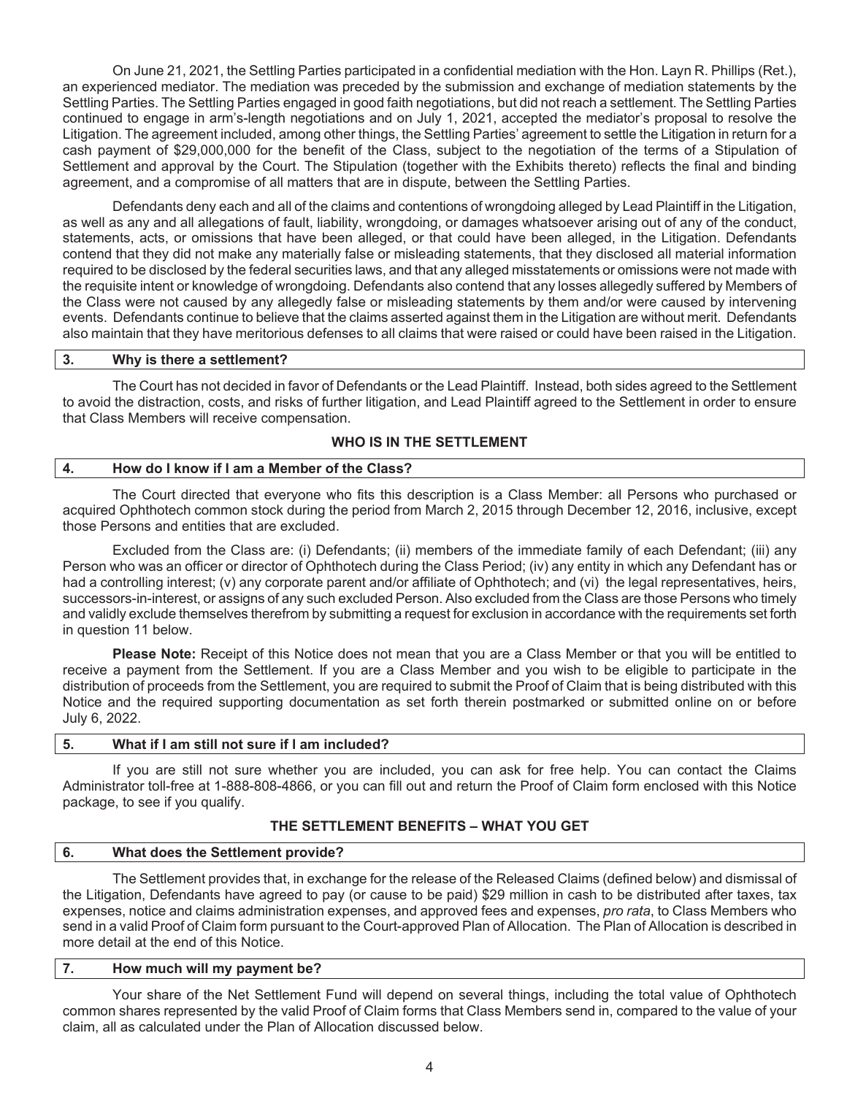On June 21, 2021, the Settling Parties participated in a confidential mediation with the Hon. Layn R. Phillips (Ret.), an experienced mediator. The mediation was preceded by the submission and exchange of mediation statements by the Settling Parties. The Settling Parties engaged in good faith negotiations, but did not reach a settlement. The Settling Parties continued to engage in arm's-length negotiations and on July 1, 2021, accepted the mediator's proposal to resolve the Litigation. The agreement included, among other things, the Settling Parties' agreement to settle the Litigation in return for a cash payment of \$29,000,000 for the benefit of the Class, subject to the negotiation of the terms of a Stipulation of Settlement and approval by the Court. The Stipulation (together with the Exhibits thereto) reflects the final and binding agreement, and a compromise of all matters that are in dispute, between the Settling Parties.

Defendants deny each and all of the claims and contentions of wrongdoing alleged by Lead Plaintiff in the Litigation, as well as any and all allegations of fault, liability, wrongdoing, or damages whatsoever arising out of any of the conduct, statements, acts, or omissions that have been alleged, or that could have been alleged, in the Litigation. Defendants contend that they did not make any materially false or misleading statements, that they disclosed all material information required to be disclosed by the federal securities laws, and that any alleged misstatements or omissions were not made with the requisite intent or knowledge of wrongdoing. Defendants also contend that any losses allegedly suffered by Members of the Class were not caused by any allegedly false or misleading statements by them and/or were caused by intervening events. Defendants continue to believe that the claims asserted against them in the Litigation are without merit. Defendants also maintain that they have meritorious defenses to all claims that were raised or could have been raised in the Litigation.

#### **3. Why is there a settlement?**

The Court has not decided in favor of Defendants or the Lead Plaintiff. Instead, both sides agreed to the Settlement to avoid the distraction, costs, and risks of further litigation, and Lead Plaintiff agreed to the Settlement in order to ensure that Class Members will receive compensation.

#### **WHO IS IN THE SETTLEMENT**

#### **4. How do I know if I am a Member of the Class?**

The Court directed that everyone who fits this description is a Class Member: all Persons who purchased or acquired Ophthotech common stock during the period from March 2, 2015 through December 12, 2016, inclusive, except those Persons and entities that are excluded.

Excluded from the Class are: (i) Defendants; (ii) members of the immediate family of each Defendant; (iii) any Person who was an officer or director of Ophthotech during the Class Period; (iv) any entity in which any Defendant has or had a controlling interest; (v) any corporate parent and/or affiliate of Ophthotech; and (vi) the legal representatives, heirs, successors-in-interest, or assigns of any such excluded Person. Also excluded from the Class are those Persons who timely and validly exclude themselves therefrom by submitting a request for exclusion in accordance with the requirements set forth in question 11 below.

**Please Note:** Receipt of this Notice does not mean that you are a Class Member or that you will be entitled to receive a payment from the Settlement. If you are a Class Member and you wish to be eligible to participate in the distribution of proceeds from the Settlement, you are required to submit the Proof of Claim that is being distributed with this Notice and the required supporting documentation as set forth therein postmarked or submitted online on or before July 6, 2022.

#### **5. What if I am still not sure if l am included?**

If you are still not sure whether you are included, you can ask for free help. You can contact the Claims Administrator toll-free at 1-888-808-4866, or you can fill out and return the Proof of Claim form enclosed with this Notice package, to see if you qualify.

#### **THE SETTLEMENT BENEFITS – WHAT YOU GET**

# **6. What does the Settlement provide?**

The Settlement provides that, in exchange for the release of the Released Claims (defined below) and dismissal of the Litigation, Defendants have agreed to pay (or cause to be paid) \$29 million in cash to be distributed after taxes, tax expenses, notice and claims administration expenses, and approved fees and expenses, *pro rata*, to Class Members who send in a valid Proof of Claim form pursuant to the Court-approved Plan of Allocation. The Plan of Allocation is described in more detail at the end of this Notice.

#### **7. How much will my payment be?**

Your share of the Net Settlement Fund will depend on several things, including the total value of Ophthotech common shares represented by the valid Proof of Claim forms that Class Members send in, compared to the value of your claim, all as calculated under the Plan of Allocation discussed below.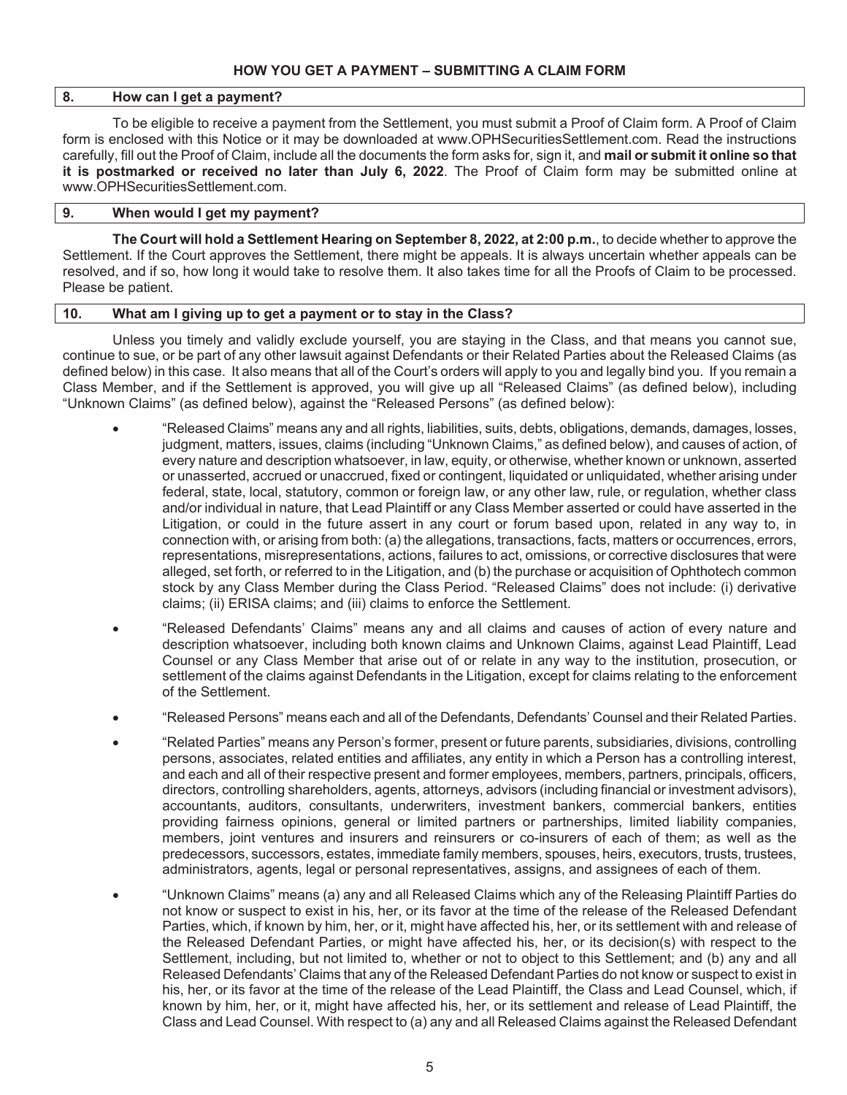# **HOW YOU GET A PAYMENT – SUBMITTING A CLAIM FORM**

# **8. How can I get a payment?**

To be eligible to receive a payment from the Settlement, you must submit a Proof of Claim form. A Proof of Claim form is enclosed with this Notice or it may be downloaded at www.OPHSecuritiesSettlement.com. Read the instructions carefully, fill out the Proof of Claim, include all the documents the form asks for, sign it, and **mail or submit it online so that it is postmarked or received no later than July 6, 2022**. The Proof of Claim form may be submitted online at www.OPHSecuritiesSettlement.com.

# **9. When would I get my payment?**

**The Court will hold a Settlement Hearing on September 8, 2022, at 2:00 p.m.**, to decide whether to approve the Settlement. If the Court approves the Settlement, there might be appeals. It is always uncertain whether appeals can be resolved, and if so, how long it would take to resolve them. It also takes time for all the Proofs of Claim to be processed. Please be patient.

#### **10. What am I giving up to get a payment or to stay in the Class?**

Unless you timely and validly exclude yourself, you are staying in the Class, and that means you cannot sue, continue to sue, or be part of any other lawsuit against Defendants or their Related Parties about the Released Claims (as defined below) in this case. It also means that all of the Court's orders will apply to you and legally bind you. If you remain a Class Member, and if the Settlement is approved, you will give up all "Released Claims" (as defined below), including "Unknown Claims" (as defined below), against the "Released Persons" (as defined below):

- x "Released Claims" means any and all rights, liabilities, suits, debts, obligations, demands, damages, losses, judgment, matters, issues, claims (including "Unknown Claims," as defined below), and causes of action, of every nature and description whatsoever, in law, equity, or otherwise, whether known or unknown, asserted or unasserted, accrued or unaccrued, fixed or contingent, liquidated or unliquidated, whether arising under federal, state, local, statutory, common or foreign law, or any other law, rule, or regulation, whether class and/or individual in nature, that Lead Plaintiff or any Class Member asserted or could have asserted in the Litigation, or could in the future assert in any court or forum based upon, related in any way to, in connection with, or arising from both: (a) the allegations, transactions, facts, matters or occurrences, errors, representations, misrepresentations, actions, failures to act, omissions, or corrective disclosures that were alleged, set forth, or referred to in the Litigation, and (b) the purchase or acquisition of Ophthotech common stock by any Class Member during the Class Period. "Released Claims" does not include: (i) derivative claims; (ii) ERISA claims; and (iii) claims to enforce the Settlement.
- x "Released Defendants' Claims" means any and all claims and causes of action of every nature and description whatsoever, including both known claims and Unknown Claims, against Lead Plaintiff, Lead Counsel or any Class Member that arise out of or relate in any way to the institution, prosecution, or settlement of the claims against Defendants in the Litigation, except for claims relating to the enforcement of the Settlement.
- x "Released Persons" means each and all of the Defendants, Defendants' Counsel and their Related Parties.
- x "Related Parties" means any Person's former, present or future parents, subsidiaries, divisions, controlling persons, associates, related entities and affiliates, any entity in which a Person has a controlling interest, and each and all of their respective present and former employees, members, partners, principals, officers, directors, controlling shareholders, agents, attorneys, advisors (including financial or investment advisors), accountants, auditors, consultants, underwriters, investment bankers, commercial bankers, entities providing fairness opinions, general or limited partners or partnerships, limited liability companies, members, joint ventures and insurers and reinsurers or co-insurers of each of them; as well as the predecessors, successors, estates, immediate family members, spouses, heirs, executors, trusts, trustees, administrators, agents, legal or personal representatives, assigns, and assignees of each of them.
- x "Unknown Claims" means (a) any and all Released Claims which any of the Releasing Plaintiff Parties do not know or suspect to exist in his, her, or its favor at the time of the release of the Released Defendant Parties, which, if known by him, her, or it, might have affected his, her, or its settlement with and release of the Released Defendant Parties, or might have affected his, her, or its decision(s) with respect to the Settlement, including, but not limited to, whether or not to object to this Settlement; and (b) any and all Released Defendants' Claims that any of the Released Defendant Parties do not know or suspect to exist in his, her, or its favor at the time of the release of the Lead Plaintiff, the Class and Lead Counsel, which, if known by him, her, or it, might have affected his, her, or its settlement and release of Lead Plaintiff, the Class and Lead Counsel. With respect to (a) any and all Released Claims against the Released Defendant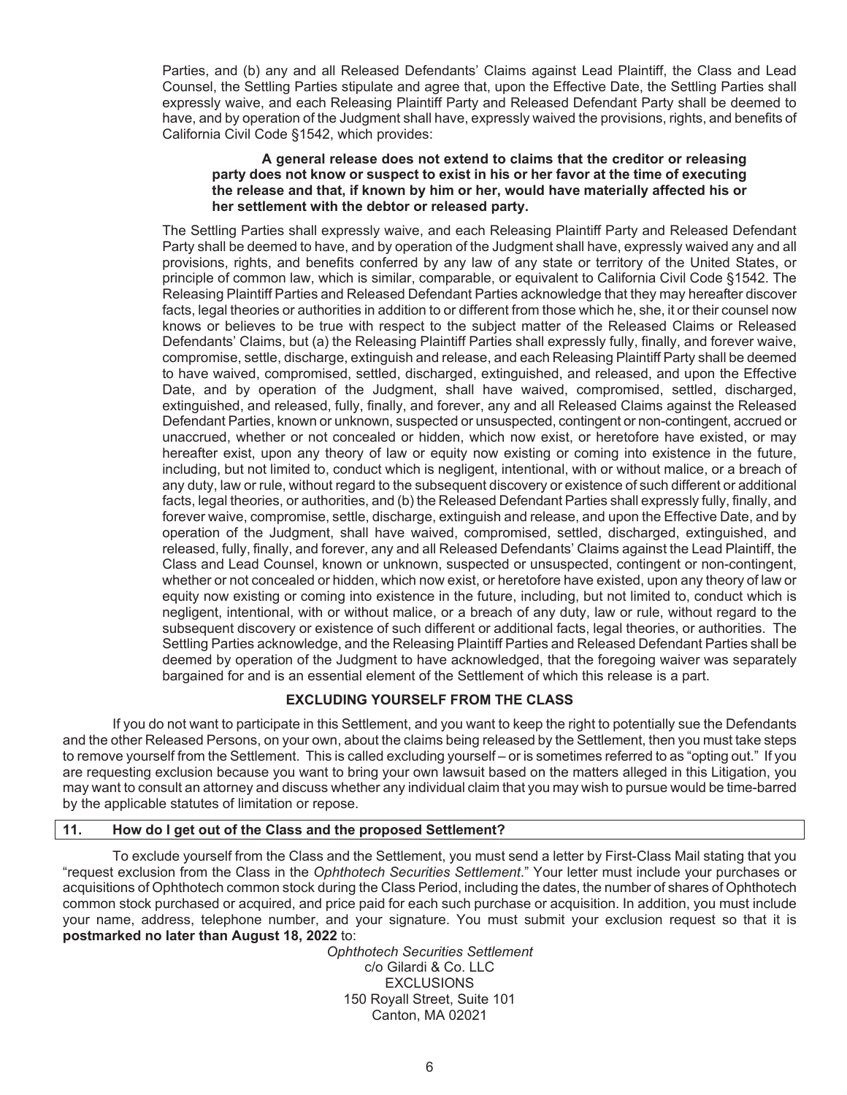Parties, and (b) any and all Released Defendants' Claims against Lead Plaintiff, the Class and Lead Counsel, the Settling Parties stipulate and agree that, upon the Effective Date, the Settling Parties shall expressly waive, and each Releasing Plaintiff Party and Released Defendant Party shall be deemed to have, and by operation of the Judgment shall have, expressly waived the provisions, rights, and benefits of California Civil Code §1542, which provides:

#### **A general release does not extend to claims that the creditor or releasing party does not know or suspect to exist in his or her favor at the time of executing the release and that, if known by him or her, would have materially affected his or her settlement with the debtor or released party.**

The Settling Parties shall expressly waive, and each Releasing Plaintiff Party and Released Defendant Party shall be deemed to have, and by operation of the Judgment shall have, expressly waived any and all provisions, rights, and benefits conferred by any law of any state or territory of the United States, or principle of common law, which is similar, comparable, or equivalent to California Civil Code §1542. The Releasing Plaintiff Parties and Released Defendant Parties acknowledge that they may hereafter discover facts, legal theories or authorities in addition to or different from those which he, she, it or their counsel now knows or believes to be true with respect to the subject matter of the Released Claims or Released Defendants' Claims, but (a) the Releasing Plaintiff Parties shall expressly fully, finally, and forever waive, compromise, settle, discharge, extinguish and release, and each Releasing Plaintiff Party shall be deemed to have waived, compromised, settled, discharged, extinguished, and released, and upon the Effective Date, and by operation of the Judgment, shall have waived, compromised, settled, discharged, extinguished, and released, fully, finally, and forever, any and all Released Claims against the Released Defendant Parties, known or unknown, suspected or unsuspected, contingent or non-contingent, accrued or unaccrued, whether or not concealed or hidden, which now exist, or heretofore have existed, or may hereafter exist, upon any theory of law or equity now existing or coming into existence in the future, including, but not limited to, conduct which is negligent, intentional, with or without malice, or a breach of any duty, law or rule, without regard to the subsequent discovery or existence of such different or additional facts, legal theories, or authorities, and (b) the Released Defendant Parties shall expressly fully, finally, and forever waive, compromise, settle, discharge, extinguish and release, and upon the Effective Date, and by operation of the Judgment, shall have waived, compromised, settled, discharged, extinguished, and released, fully, finally, and forever, any and all Released Defendants' Claims against the Lead Plaintiff, the Class and Lead Counsel, known or unknown, suspected or unsuspected, contingent or non-contingent, whether or not concealed or hidden, which now exist, or heretofore have existed, upon any theory of law or equity now existing or coming into existence in the future, including, but not limited to, conduct which is negligent, intentional, with or without malice, or a breach of any duty, law or rule, without regard to the subsequent discovery or existence of such different or additional facts, legal theories, or authorities. The Settling Parties acknowledge, and the Releasing Plaintiff Parties and Released Defendant Parties shall be deemed by operation of the Judgment to have acknowledged, that the foregoing waiver was separately bargained for and is an essential element of the Settlement of which this release is a part.

# **EXCLUDING YOURSELF FROM THE CLASS**

If you do not want to participate in this Settlement, and you want to keep the right to potentially sue the Defendants and the other Released Persons, on your own, about the claims being released by the Settlement, then you must take steps to remove yourself from the Settlement. This is called excluding yourself – or is sometimes referred to as "opting out." If you are requesting exclusion because you want to bring your own lawsuit based on the matters alleged in this Litigation, you may want to consult an attorney and discuss whether any individual claim that you may wish to pursue would be time-barred by the applicable statutes of limitation or repose.

#### **11. How do I get out of the Class and the proposed Settlement?**

To exclude yourself from the Class and the Settlement, you must send a letter by First-Class Mail stating that you "request exclusion from the Class in the *Ophthotech Securities Settlement*." Your letter must include your purchases or acquisitions of Ophthotech common stock during the Class Period, including the dates, the number of shares of Ophthotech common stock purchased or acquired, and price paid for each such purchase or acquisition. In addition, you must include your name, address, telephone number, and your signature. You must submit your exclusion request so that it is **postmarked no later than August 18, 2022** to:

*Ophthotech Securities Settlement*  c/o Gilardi & Co. LLC EXCLUSIONS 150 Royall Street, Suite 101 Canton, MA 02021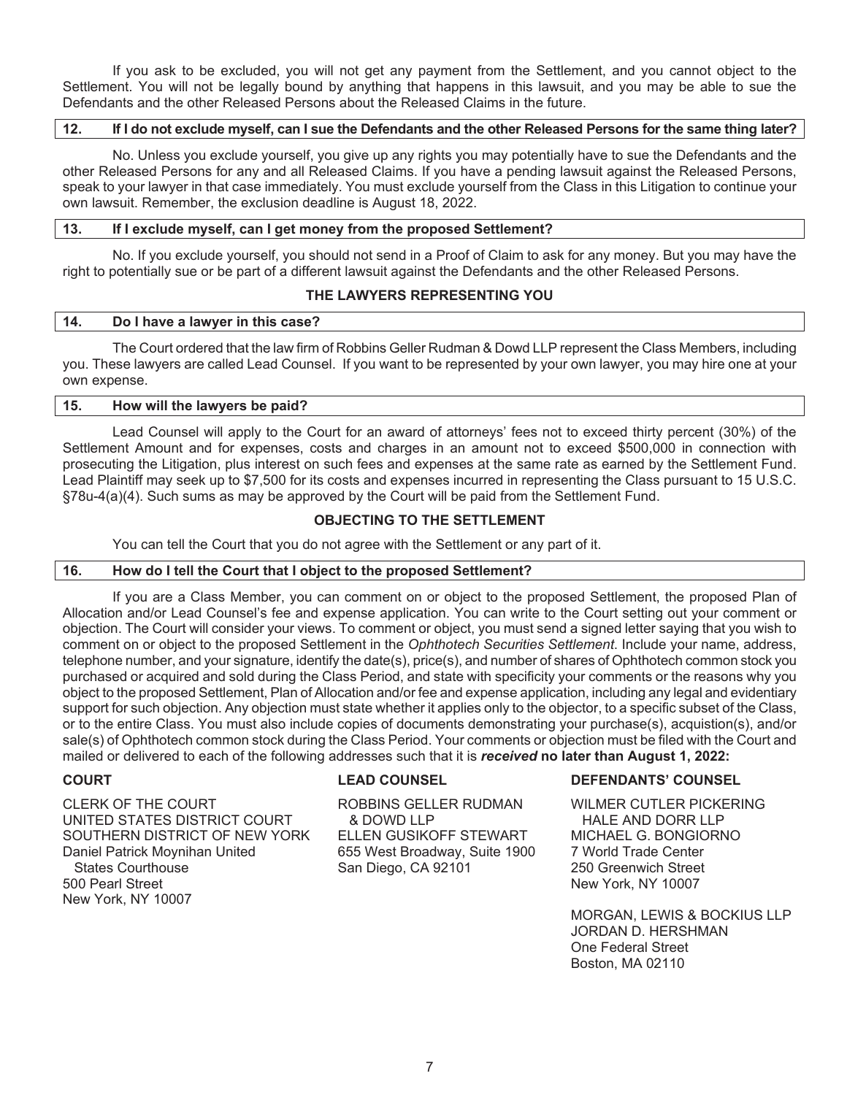If you ask to be excluded, you will not get any payment from the Settlement, and you cannot object to the Settlement. You will not be legally bound by anything that happens in this lawsuit, and you may be able to sue the Defendants and the other Released Persons about the Released Claims in the future.

# **12. If I do not exclude myself, can I sue the Defendants and the other Released Persons for the same thing later?**

No. Unless you exclude yourself, you give up any rights you may potentially have to sue the Defendants and the other Released Persons for any and all Released Claims. If you have a pending lawsuit against the Released Persons, speak to your lawyer in that case immediately. You must exclude yourself from the Class in this Litigation to continue your own lawsuit. Remember, the exclusion deadline is August 18, 2022.

#### **13. If I exclude myself, can I get money from the proposed Settlement?**

No. If you exclude yourself, you should not send in a Proof of Claim to ask for any money. But you may have the right to potentially sue or be part of a different lawsuit against the Defendants and the other Released Persons.

# **THE LAWYERS REPRESENTING YOU**

#### **14. Do I have a lawyer in this case?**

The Court ordered that the law firm of Robbins Geller Rudman & Dowd LLP represent the Class Members, including you. These lawyers are called Lead Counsel. If you want to be represented by your own lawyer, you may hire one at your own expense.

| 115. | How will the lawyers be paid? |  |
|------|-------------------------------|--|
|      |                               |  |

Lead Counsel will apply to the Court for an award of attorneys' fees not to exceed thirty percent (30%) of the Settlement Amount and for expenses, costs and charges in an amount not to exceed \$500,000 in connection with prosecuting the Litigation, plus interest on such fees and expenses at the same rate as earned by the Settlement Fund. Lead Plaintiff may seek up to \$7,500 for its costs and expenses incurred in representing the Class pursuant to 15 U.S.C. §78u-4(a)(4). Such sums as may be approved by the Court will be paid from the Settlement Fund.

# **OBJECTING TO THE SETTLEMENT**

You can tell the Court that you do not agree with the Settlement or any part of it.

# **16. How do I tell the Court that I object to the proposed Settlement?**

If you are a Class Member, you can comment on or object to the proposed Settlement, the proposed Plan of Allocation and/or Lead Counsel's fee and expense application. You can write to the Court setting out your comment or objection. The Court will consider your views. To comment or object, you must send a signed letter saying that you wish to comment on or object to the proposed Settlement in the *Ophthotech Securities Settlement*. Include your name, address, telephone number, and your signature, identify the date(s), price(s), and number of shares of Ophthotech common stock you purchased or acquired and sold during the Class Period, and state with specificity your comments or the reasons why you object to the proposed Settlement, Plan of Allocation and/or fee and expense application, including any legal and evidentiary support for such objection. Any objection must state whether it applies only to the objector, to a specific subset of the Class, or to the entire Class. You must also include copies of documents demonstrating your purchase(s), acquistion(s), and/or sale(s) of Ophthotech common stock during the Class Period. Your comments or objection must be filed with the Court and mailed or delivered to each of the following addresses such that it is *received* **no later than August 1, 2022:** 

CLERK OF THE COURT UNITED STATES DISTRICT COURT SOUTHERN DISTRICT OF NEW YORK Daniel Patrick Moynihan United States Courthouse 500 Pearl Street New York, NY 10007

ROBBINS GELLER RUDMAN & DOWD LLP ELLEN GUSIKOFF STEWART 655 West Broadway, Suite 1900 San Diego, CA 92101

#### **COURT LEAD COUNSEL DEFENDANTS' COUNSEL**

WILMER CUTLER PICKERING HALE AND DORR LLP MICHAEL G. BONGIORNO 7 World Trade Center 250 Greenwich Street New York, NY 10007

MORGAN, LEWIS & BOCKIUS LLP JORDAN D. HERSHMAN One Federal Street Boston, MA 02110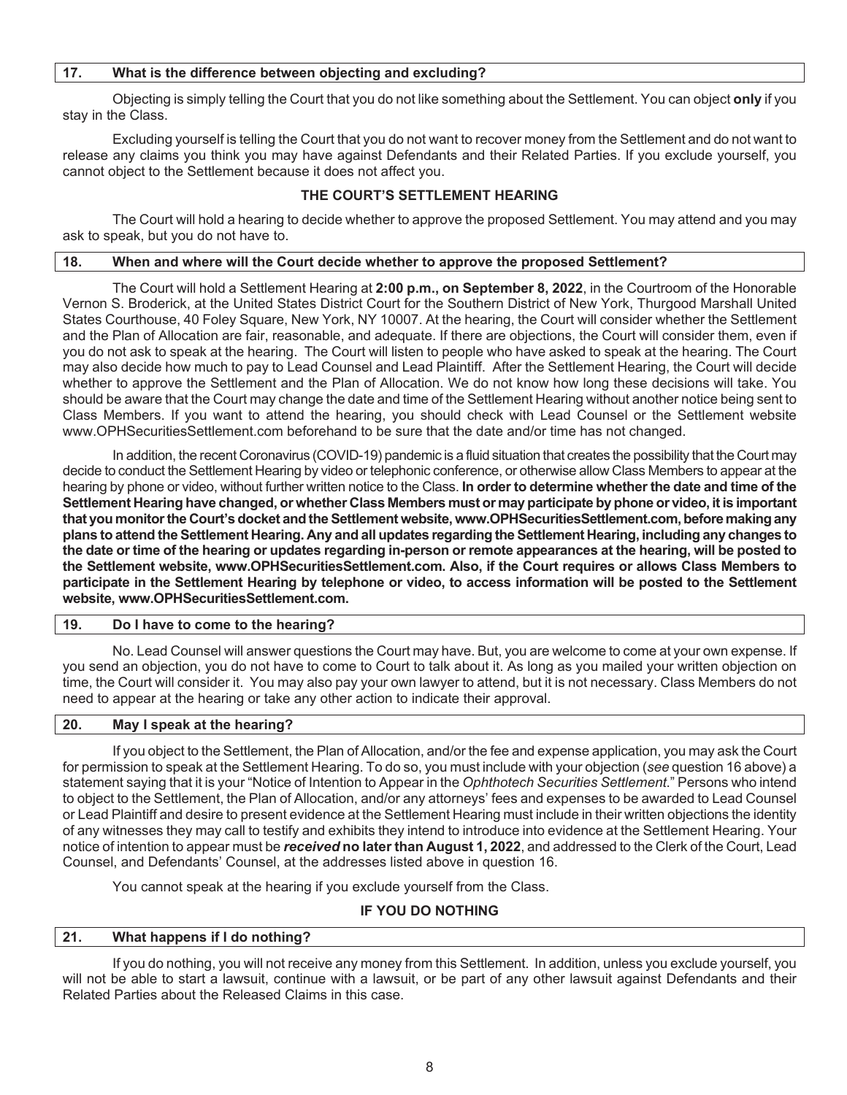# **17. What is the difference between objecting and excluding?**

Objecting is simply telling the Court that you do not like something about the Settlement. You can object **only** if you stay in the Class.

Excluding yourself is telling the Court that you do not want to recover money from the Settlement and do not want to release any claims you think you may have against Defendants and their Related Parties. If you exclude yourself, you cannot object to the Settlement because it does not affect you.

# **THE COURT'S SETTLEMENT HEARING**

The Court will hold a hearing to decide whether to approve the proposed Settlement. You may attend and you may ask to speak, but you do not have to.

#### **18. When and where will the Court decide whether to approve the proposed Settlement?**

The Court will hold a Settlement Hearing at **2:00 p.m., on September 8, 2022**, in the Courtroom of the Honorable Vernon S. Broderick, at the United States District Court for the Southern District of New York, Thurgood Marshall United States Courthouse, 40 Foley Square, New York, NY 10007. At the hearing, the Court will consider whether the Settlement and the Plan of Allocation are fair, reasonable, and adequate. If there are objections, the Court will consider them, even if you do not ask to speak at the hearing. The Court will listen to people who have asked to speak at the hearing. The Court may also decide how much to pay to Lead Counsel and Lead Plaintiff. After the Settlement Hearing, the Court will decide whether to approve the Settlement and the Plan of Allocation. We do not know how long these decisions will take. You should be aware that the Court may change the date and time of the Settlement Hearing without another notice being sent to Class Members. If you want to attend the hearing, you should check with Lead Counsel or the Settlement website www.OPHSecuritiesSettlement.com beforehand to be sure that the date and/or time has not changed.

In addition, the recent Coronavirus (COVID-19) pandemic is a fluid situation that creates the possibility that the Court may decide to conduct the Settlement Hearing by video or telephonic conference, or otherwise allow Class Members to appear at the hearing by phone or video, without further written notice to the Class. **In order to determine whether the date and time of the Settlement Hearing have changed, or whether Class Members must or may participate by phone or video, it is important that you monitor the Court's docket and the Settlement website, www.OPHSecuritiesSettlement.com, before making any plans to attend the Settlement Hearing. Any and all updates regarding the Settlement Hearing, including any changes to the date or time of the hearing or updates regarding in-person or remote appearances at the hearing, will be posted to the Settlement website, www.OPHSecuritiesSettlement.com. Also, if the Court requires or allows Class Members to participate in the Settlement Hearing by telephone or video, to access information will be posted to the Settlement website, www.OPHSecuritiesSettlement.com.** 

#### **19. Do I have to come to the hearing?**

No. Lead Counsel will answer questions the Court may have. But, you are welcome to come at your own expense. If you send an objection, you do not have to come to Court to talk about it. As long as you mailed your written objection on time, the Court will consider it. You may also pay your own lawyer to attend, but it is not necessary. Class Members do not need to appear at the hearing or take any other action to indicate their approval.

#### **20. May I speak at the hearing?**

If you object to the Settlement, the Plan of Allocation, and/or the fee and expense application, you may ask the Court for permission to speak at the Settlement Hearing. To do so, you must include with your objection (*see* question 16 above) a statement saying that it is your "Notice of Intention to Appear in the *Ophthotech Securities Settlement*." Persons who intend to object to the Settlement, the Plan of Allocation, and/or any attorneys' fees and expenses to be awarded to Lead Counsel or Lead Plaintiff and desire to present evidence at the Settlement Hearing must include in their written objections the identity of any witnesses they may call to testify and exhibits they intend to introduce into evidence at the Settlement Hearing. Your notice of intention to appear must be *received* **no later than August 1, 2022**, and addressed to the Clerk of the Court, Lead Counsel, and Defendants' Counsel, at the addresses listed above in question 16.

You cannot speak at the hearing if you exclude yourself from the Class.

#### **IF YOU DO NOTHING**

# **21. What happens if I do nothing?**

If you do nothing, you will not receive any money from this Settlement. In addition, unless you exclude yourself, you will not be able to start a lawsuit, continue with a lawsuit, or be part of any other lawsuit against Defendants and their Related Parties about the Released Claims in this case.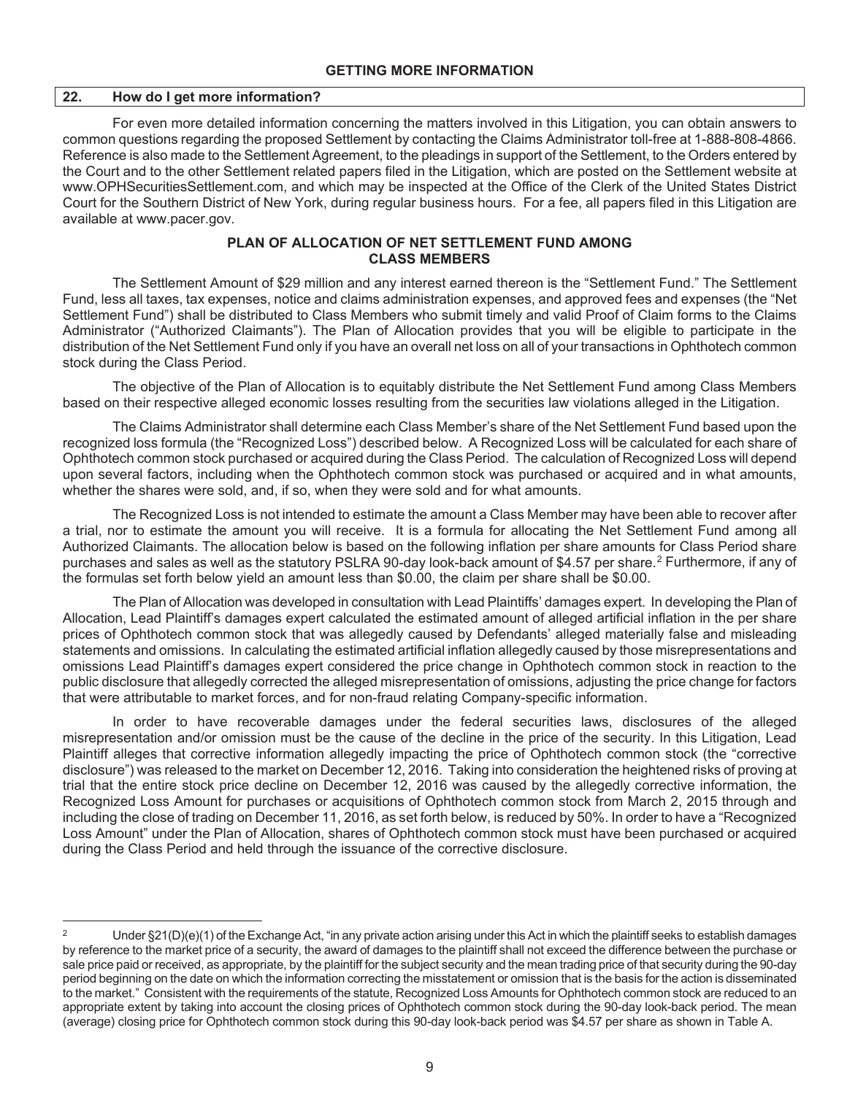#### **GETTING MORE INFORMATION**

#### **22. How do I get more information?**

For even more detailed information concerning the matters involved in this Litigation, you can obtain answers to common questions regarding the proposed Settlement by contacting the Claims Administrator toll-free at 1-888-808-4866. Reference is also made to the Settlement Agreement, to the pleadings in support of the Settlement, to the Orders entered by the Court and to the other Settlement related papers filed in the Litigation, which are posted on the Settlement website at www.OPHSecuritiesSettlement.com, and which may be inspected at the Office of the Clerk of the United States District Court for the Southern District of New York, during regular business hours. For a fee, all papers filed in this Litigation are available at www.pacer.gov.

# **PLAN OF ALLOCATION OF NET SETTLEMENT FUND AMONG CLASS MEMBERS**

The Settlement Amount of \$29 million and any interest earned thereon is the "Settlement Fund." The Settlement Fund, less all taxes, tax expenses, notice and claims administration expenses, and approved fees and expenses (the "Net Settlement Fund") shall be distributed to Class Members who submit timely and valid Proof of Claim forms to the Claims Administrator ("Authorized Claimants"). The Plan of Allocation provides that you will be eligible to participate in the distribution of the Net Settlement Fund only if you have an overall net loss on all of your transactions in Ophthotech common stock during the Class Period.

The objective of the Plan of Allocation is to equitably distribute the Net Settlement Fund among Class Members based on their respective alleged economic losses resulting from the securities law violations alleged in the Litigation.

The Claims Administrator shall determine each Class Member's share of the Net Settlement Fund based upon the recognized loss formula (the "Recognized Loss") described below. A Recognized Loss will be calculated for each share of Ophthotech common stock purchased or acquired during the Class Period. The calculation of Recognized Loss will depend upon several factors, including when the Ophthotech common stock was purchased or acquired and in what amounts, whether the shares were sold, and, if so, when they were sold and for what amounts.

The Recognized Loss is not intended to estimate the amount a Class Member may have been able to recover after a trial, nor to estimate the amount you will receive. It is a formula for allocating the Net Settlement Fund among all Authorized Claimants. The allocation below is based on the following inflation per share amounts for Class Period share purchases and sales as well as the statutory PSLRA 90-day look-back amount of \$4.57 per share.<sup>2</sup> Furthermore, if any of the formulas set forth below yield an amount less than \$0.00, the claim per share shall be \$0.00.

The Plan of Allocation was developed in consultation with Lead Plaintiffs' damages expert. In developing the Plan of Allocation, Lead Plaintiff's damages expert calculated the estimated amount of alleged artificial inflation in the per share prices of Ophthotech common stock that was allegedly caused by Defendants' alleged materially false and misleading statements and omissions. In calculating the estimated artificial inflation allegedly caused by those misrepresentations and omissions Lead Plaintiff's damages expert considered the price change in Ophthotech common stock in reaction to the public disclosure that allegedly corrected the alleged misrepresentation of omissions, adjusting the price change for factors that were attributable to market forces, and for non-fraud relating Company-specific information.

In order to have recoverable damages under the federal securities laws, disclosures of the alleged misrepresentation and/or omission must be the cause of the decline in the price of the security. In this Litigation, Lead Plaintiff alleges that corrective information allegedly impacting the price of Ophthotech common stock (the "corrective disclosure") was released to the market on December 12, 2016. Taking into consideration the heightened risks of proving at trial that the entire stock price decline on December 12, 2016 was caused by the allegedly corrective information, the Recognized Loss Amount for purchases or acquisitions of Ophthotech common stock from March 2, 2015 through and including the close of trading on December 11, 2016, as set forth below, is reduced by 50%. In order to have a "Recognized Loss Amount" under the Plan of Allocation, shares of Ophthotech common stock must have been purchased or acquired during the Class Period and held through the issuance of the corrective disclosure.

<sup>2</sup> Under §21(D)(e)(1) of the Exchange Act, "in any private action arising under this Act in which the plaintiff seeks to establish damages by reference to the market price of a security, the award of damages to the plaintiff shall not exceed the difference between the purchase or sale price paid or received, as appropriate, by the plaintiff for the subject security and the mean trading price of that security during the 90-day period beginning on the date on which the information correcting the misstatement or omission that is the basis for the action is disseminated to the market." Consistent with the requirements of the statute, Recognized Loss Amounts for Ophthotech common stock are reduced to an appropriate extent by taking into account the closing prices of Ophthotech common stock during the 90-day look-back period. The mean (average) closing price for Ophthotech common stock during this 90-day look-back period was \$4.57 per share as shown in Table A.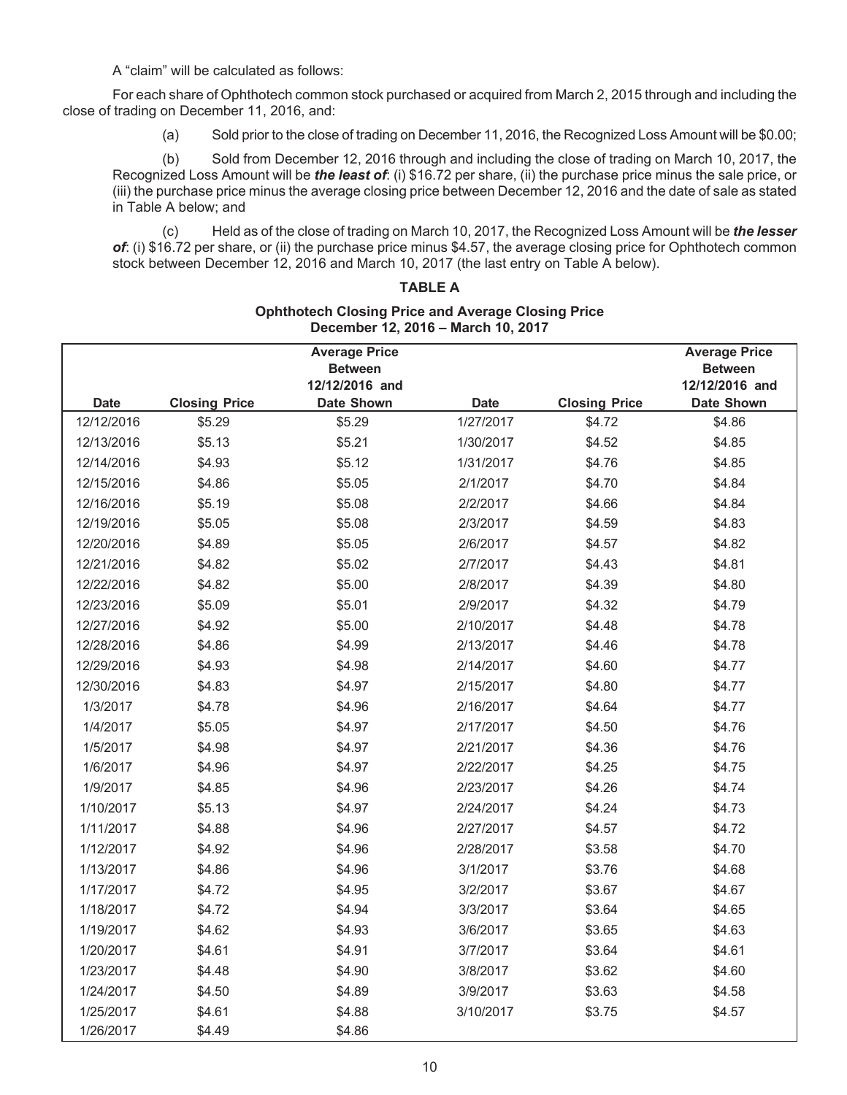A "claim" will be calculated as follows:

For each share of Ophthotech common stock purchased or acquired from March 2, 2015 through and including the close of trading on December 11, 2016, and:

(a) Sold prior to the close of trading on December 11, 2016, the Recognized Loss Amount will be \$0.00;

(b) Sold from December 12, 2016 through and including the close of trading on March 10, 2017, the Recognized Loss Amount will be *the least of*: (i) \$16.72 per share, (ii) the purchase price minus the sale price, or (iii) the purchase price minus the average closing price between December 12, 2016 and the date of sale as stated in Table A below; and

(c) Held as of the close of trading on March 10, 2017, the Recognized Loss Amount will be *the lesser of*: (i) \$16.72 per share, or (ii) the purchase price minus \$4.57, the average closing price for Ophthotech common stock between December 12, 2016 and March 10, 2017 (the last entry on Table A below).

# **TABLE A**

#### **Ophthotech Closing Price and Average Closing Price December 12, 2016 – March 10, 2017**

|             |                      | <b>Average Price</b>                |             |                      | <b>Average Price</b>                |
|-------------|----------------------|-------------------------------------|-------------|----------------------|-------------------------------------|
|             |                      | <b>Between</b>                      |             |                      | <b>Between</b>                      |
| <b>Date</b> | <b>Closing Price</b> | 12/12/2016 and<br><b>Date Shown</b> | <b>Date</b> | <b>Closing Price</b> | 12/12/2016 and<br><b>Date Shown</b> |
| 12/12/2016  | \$5.29               | \$5.29                              | 1/27/2017   | \$4.72               | \$4.86                              |
| 12/13/2016  | \$5.13               | \$5.21                              | 1/30/2017   | \$4.52               | \$4.85                              |
| 12/14/2016  | \$4.93               | \$5.12                              | 1/31/2017   | \$4.76               | \$4.85                              |
| 12/15/2016  | \$4.86               | \$5.05                              | 2/1/2017    | \$4.70               | \$4.84                              |
| 12/16/2016  | \$5.19               | \$5.08                              | 2/2/2017    | \$4.66               | \$4.84                              |
| 12/19/2016  | \$5.05               | \$5.08                              | 2/3/2017    | \$4.59               | \$4.83                              |
| 12/20/2016  | \$4.89               | \$5.05                              | 2/6/2017    | \$4.57               | \$4.82                              |
| 12/21/2016  | \$4.82               | \$5.02                              | 2/7/2017    | \$4.43               | \$4.81                              |
| 12/22/2016  | \$4.82               | \$5.00                              | 2/8/2017    | \$4.39               | \$4.80                              |
| 12/23/2016  | \$5.09               | \$5.01                              | 2/9/2017    | \$4.32               | \$4.79                              |
| 12/27/2016  | \$4.92               | \$5.00                              | 2/10/2017   | \$4.48               | \$4.78                              |
| 12/28/2016  | \$4.86               | \$4.99                              | 2/13/2017   | \$4.46               | \$4.78                              |
| 12/29/2016  | \$4.93               | \$4.98                              | 2/14/2017   | \$4.60               | \$4.77                              |
| 12/30/2016  | \$4.83               | \$4.97                              | 2/15/2017   | \$4.80               | \$4.77                              |
| 1/3/2017    | \$4.78               | \$4.96                              | 2/16/2017   | \$4.64               | \$4.77                              |
| 1/4/2017    | \$5.05               | \$4.97                              | 2/17/2017   | \$4.50               | \$4.76                              |
| 1/5/2017    | \$4.98               | \$4.97                              | 2/21/2017   | \$4.36               | \$4.76                              |
| 1/6/2017    | \$4.96               | \$4.97                              | 2/22/2017   | \$4.25               | \$4.75                              |
| 1/9/2017    | \$4.85               | \$4.96                              | 2/23/2017   | \$4.26               | \$4.74                              |
| 1/10/2017   | \$5.13               | \$4.97                              | 2/24/2017   | \$4.24               | \$4.73                              |
| 1/11/2017   | \$4.88               | \$4.96                              | 2/27/2017   | \$4.57               | \$4.72                              |
| 1/12/2017   | \$4.92               | \$4.96                              | 2/28/2017   | \$3.58               | \$4.70                              |
| 1/13/2017   | \$4.86               | \$4.96                              | 3/1/2017    | \$3.76               | \$4.68                              |
| 1/17/2017   | \$4.72               | \$4.95                              | 3/2/2017    | \$3.67               | \$4.67                              |
| 1/18/2017   | \$4.72               | \$4.94                              | 3/3/2017    | \$3.64               | \$4.65                              |
| 1/19/2017   | \$4.62               | \$4.93                              | 3/6/2017    | \$3.65               | \$4.63                              |
| 1/20/2017   | \$4.61               | \$4.91                              | 3/7/2017    | \$3.64               | \$4.61                              |
| 1/23/2017   | \$4.48               | \$4.90                              | 3/8/2017    | \$3.62               | \$4.60                              |
| 1/24/2017   | \$4.50               | \$4.89                              | 3/9/2017    | \$3.63               | \$4.58                              |
| 1/25/2017   | \$4.61               | \$4.88                              | 3/10/2017   | \$3.75               | \$4.57                              |
| 1/26/2017   | \$4.49               | \$4.86                              |             |                      |                                     |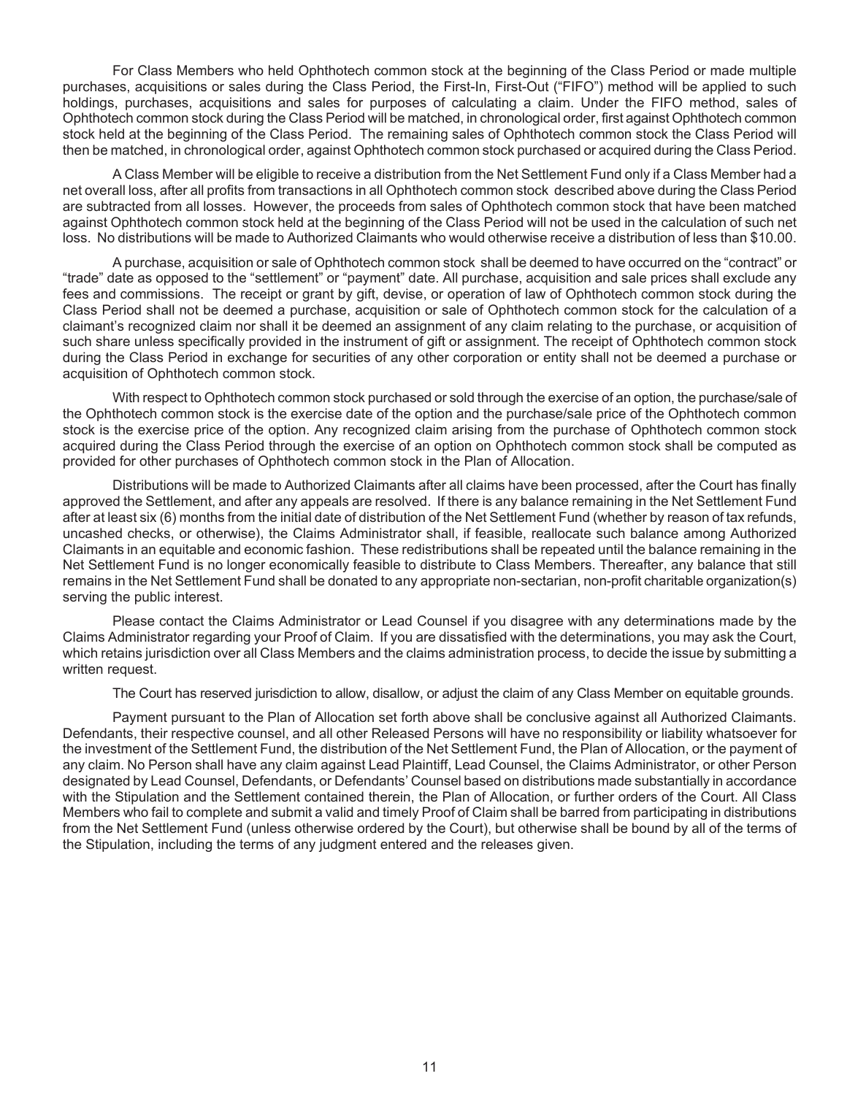For Class Members who held Ophthotech common stock at the beginning of the Class Period or made multiple purchases, acquisitions or sales during the Class Period, the First-In, First-Out ("FIFO") method will be applied to such holdings, purchases, acquisitions and sales for purposes of calculating a claim. Under the FIFO method, sales of Ophthotech common stock during the Class Period will be matched, in chronological order, first against Ophthotech common stock held at the beginning of the Class Period. The remaining sales of Ophthotech common stock the Class Period will then be matched, in chronological order, against Ophthotech common stock purchased or acquired during the Class Period.

A Class Member will be eligible to receive a distribution from the Net Settlement Fund only if a Class Member had a net overall loss, after all profits from transactions in all Ophthotech common stock described above during the Class Period are subtracted from all losses. However, the proceeds from sales of Ophthotech common stock that have been matched against Ophthotech common stock held at the beginning of the Class Period will not be used in the calculation of such net loss. No distributions will be made to Authorized Claimants who would otherwise receive a distribution of less than \$10.00.

A purchase, acquisition or sale of Ophthotech common stock shall be deemed to have occurred on the "contract" or "trade" date as opposed to the "settlement" or "payment" date. All purchase, acquisition and sale prices shall exclude any fees and commissions. The receipt or grant by gift, devise, or operation of law of Ophthotech common stock during the Class Period shall not be deemed a purchase, acquisition or sale of Ophthotech common stock for the calculation of a claimant's recognized claim nor shall it be deemed an assignment of any claim relating to the purchase, or acquisition of such share unless specifically provided in the instrument of gift or assignment. The receipt of Ophthotech common stock during the Class Period in exchange for securities of any other corporation or entity shall not be deemed a purchase or acquisition of Ophthotech common stock.

With respect to Ophthotech common stock purchased or sold through the exercise of an option, the purchase/sale of the Ophthotech common stock is the exercise date of the option and the purchase/sale price of the Ophthotech common stock is the exercise price of the option. Any recognized claim arising from the purchase of Ophthotech common stock acquired during the Class Period through the exercise of an option on Ophthotech common stock shall be computed as provided for other purchases of Ophthotech common stock in the Plan of Allocation.

Distributions will be made to Authorized Claimants after all claims have been processed, after the Court has finally approved the Settlement, and after any appeals are resolved. If there is any balance remaining in the Net Settlement Fund after at least six (6) months from the initial date of distribution of the Net Settlement Fund (whether by reason of tax refunds, uncashed checks, or otherwise), the Claims Administrator shall, if feasible, reallocate such balance among Authorized Claimants in an equitable and economic fashion. These redistributions shall be repeated until the balance remaining in the Net Settlement Fund is no longer economically feasible to distribute to Class Members. Thereafter, any balance that still remains in the Net Settlement Fund shall be donated to any appropriate non-sectarian, non-profit charitable organization(s) serving the public interest.

Please contact the Claims Administrator or Lead Counsel if you disagree with any determinations made by the Claims Administrator regarding your Proof of Claim. If you are dissatisfied with the determinations, you may ask the Court, which retains jurisdiction over all Class Members and the claims administration process, to decide the issue by submitting a written request.

The Court has reserved jurisdiction to allow, disallow, or adjust the claim of any Class Member on equitable grounds.

Payment pursuant to the Plan of Allocation set forth above shall be conclusive against all Authorized Claimants. Defendants, their respective counsel, and all other Released Persons will have no responsibility or liability whatsoever for the investment of the Settlement Fund, the distribution of the Net Settlement Fund, the Plan of Allocation, or the payment of any claim. No Person shall have any claim against Lead Plaintiff, Lead Counsel, the Claims Administrator, or other Person designated by Lead Counsel, Defendants, or Defendants' Counsel based on distributions made substantially in accordance with the Stipulation and the Settlement contained therein, the Plan of Allocation, or further orders of the Court. All Class Members who fail to complete and submit a valid and timely Proof of Claim shall be barred from participating in distributions from the Net Settlement Fund (unless otherwise ordered by the Court), but otherwise shall be bound by all of the terms of the Stipulation, including the terms of any judgment entered and the releases given.